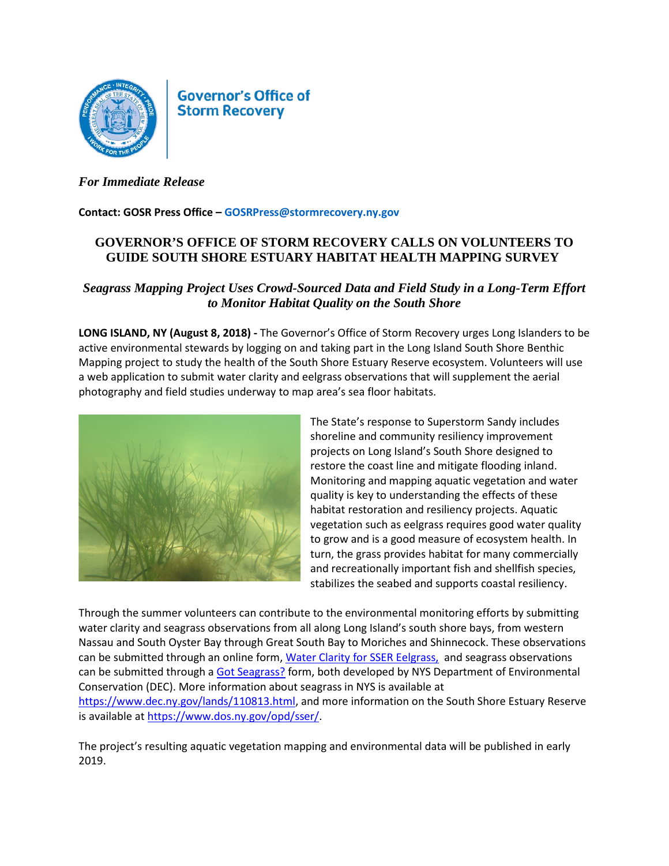

**Governor's Office of Storm Recovery** 

## *For Immediate Release*

## **Contact: GOSR Press Office – GOSRPress@stormrecovery.ny.gov**

## **GOVERNOR'S OFFICE OF STORM RECOVERY CALLS ON VOLUNTEERS TO GUIDE SOUTH SHORE ESTUARY HABITAT HEALTH MAPPING SURVEY**

## *Seagrass Mapping Project Uses Crowd-Sourced Data and Field Study in a Long-Term Effort to Monitor Habitat Quality on the South Shore*

**LONG ISLAND, NY (August 8, 2018) -** The Governor's Office of Storm Recovery urges Long Islanders to be active environmental stewards by logging on and taking part in the Long Island South Shore Benthic Mapping project to study the health of the South Shore Estuary Reserve ecosystem. Volunteers will use a web application to submit water clarity and eelgrass observations that will supplement the aerial photography and field studies underway to map area's sea floor habitats.



The State's response to Superstorm Sandy includes shoreline and community resiliency improvement projects on Long Island's South Shore designed to restore the coast line and mitigate flooding inland. Monitoring and mapping aquatic vegetation and water quality is key to understanding the effects of these habitat restoration and resiliency projects. Aquatic vegetation such as eelgrass requires good water quality to grow and is a good measure of ecosystem health. In turn, the grass provides habitat for many commercially and recreationally important fish and shellfish species, stabilizes the seabed and supports coastal resiliency.

Through the summer volunteers can contribute to the environmental monitoring efforts by submitting water clarity and seagrass observations from all along Long Island's south shore bays, from western Nassau and South Oyster Bay through Great South Bay to Moriches and Shinnecock. These observations can be submitted through an online form, [Water Clarity for SSER Eelgrass,](https://survey123.arcgis.com/share/1f6af8df080541d4b72eba5011686330) and seagrass observations can be submitted through a [Got Seagrass?](https://www.dec.ny.gov/lands/112412.html) form, both developed by NYS Department of Environmental Conservation (DEC). More information about seagrass in NYS is available at [https://www.dec.ny.gov/lands/110813.html,](https://www.dec.ny.gov/lands/110813.html) and more information on the South Shore Estuary Reserve is available at [https://www.dos.ny.gov/opd/sser/.](https://www.dos.ny.gov/opd/sser/)

The project's resulting aquatic vegetation mapping and environmental data will be published in early 2019.